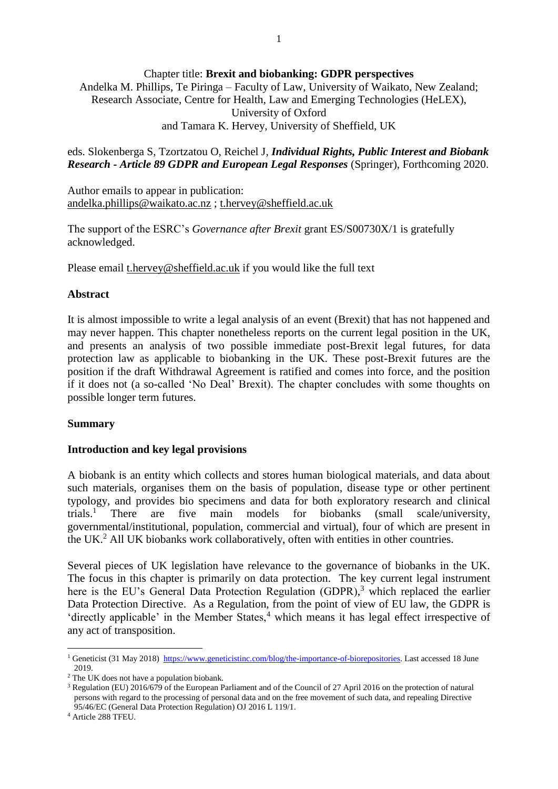### Chapter title: **Brexit and biobanking: GDPR perspectives**

Andelka M. Phillips, Te Piringa – Faculty of Law, University of Waikato, New Zealand; Research Associate, Centre for Health, Law and Emerging Technologies (HeLEX), University of Oxford and Tamara K. Hervey, University of Sheffield, UK

eds. Slokenberga S, Tzortzatou O, Reichel J, *Individual Rights, Public Interest and Biobank Research - Article 89 GDPR and European Legal Responses* (Springer), Forthcoming 2020.

Author emails to appear in publication: [andelka.phillips@waikato.ac.nz](mailto:andelka.phillips@waikato.ac.nz) ; [t.hervey@sheffield.ac.uk](mailto:t.hervey@sheffield.ac.uk)

The support of the ESRC's *Governance after Brexit* grant ES/S00730X/1 is gratefully acknowledged.

Please email [t.hervey@sheffield.ac.uk](mailto:t.hervey@sheffield.ac.uk) if you would like the full text

### **Abstract**

It is almost impossible to write a legal analysis of an event (Brexit) that has not happened and may never happen. This chapter nonetheless reports on the current legal position in the UK, and presents an analysis of two possible immediate post-Brexit legal futures, for data protection law as applicable to biobanking in the UK. These post-Brexit futures are the position if the draft Withdrawal Agreement is ratified and comes into force, and the position if it does not (a so-called 'No Deal' Brexit). The chapter concludes with some thoughts on possible longer term futures.

#### **Summary**

#### **Introduction and key legal provisions**

A biobank is an entity which collects and stores human biological materials, and data about such materials, organises them on the basis of population, disease type or other pertinent typology, and provides bio specimens and data for both exploratory research and clinical trials.<sup>1</sup> There are five main models for biobanks (small scale/university, governmental/institutional, population, commercial and virtual), four of which are present in the UK.<sup>2</sup> All UK biobanks work collaboratively, often with entities in other countries.

Several pieces of UK legislation have relevance to the governance of biobanks in the UK. The focus in this chapter is primarily on data protection. The key current legal instrument here is the EU's General Data Protection Regulation (GDPR),<sup>3</sup> which replaced the earlier Data Protection Directive. As a Regulation, from the point of view of EU law, the GDPR is 'directly applicable' in the Member States,<sup>4</sup> which means it has legal effect irrespective of any act of transposition.

<sup>&</sup>lt;sup>1</sup> Geneticist (31 May 2018) [https://www.geneticistinc.com/blog/the-importance-of-biorepositories.](https://www.geneticistinc.com/blog/the-importance-of-biorepositories) Last accessed 18 June 2019.

<sup>2</sup> The UK does not have a population biobank.

<sup>3</sup> Regulation (EU) 2016/679 of the European Parliament and of the Council of 27 April 2016 on the protection of natural persons with regard to the processing of personal data and on the free movement of such data, and repealing Directive 95/46/EC (General Data Protection Regulation) OJ 2016 L 119/1.

<sup>4</sup> Article 288 TFEU.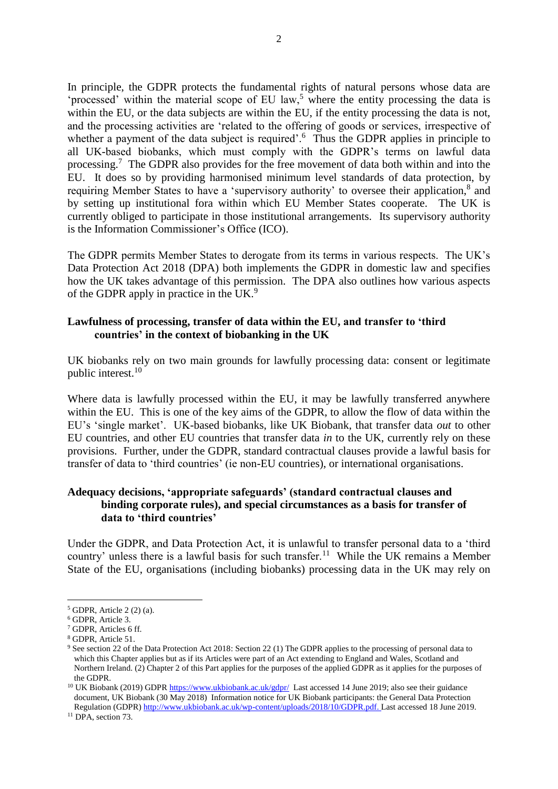In principle, the GDPR protects the fundamental rights of natural persons whose data are 'processed' within the material scope of EU law,<sup>5</sup> where the entity processing the data is within the EU, or the data subjects are within the EU, if the entity processing the data is not, and the processing activities are 'related to the offering of goods or services, irrespective of whether a payment of the data subject is required'.<sup>6</sup> Thus the GDPR applies in principle to all UK-based biobanks, which must comply with the GDPR's terms on lawful data processing.<sup>7</sup> The GDPR also provides for the free movement of data both within and into the EU. It does so by providing harmonised minimum level standards of data protection, by requiring Member States to have a 'supervisory authority' to oversee their application,<sup>8</sup> and by setting up institutional fora within which EU Member States cooperate. The UK is currently obliged to participate in those institutional arrangements. Its supervisory authority is the Information Commissioner's Office (ICO).

The GDPR permits Member States to derogate from its terms in various respects. The UK's Data Protection Act 2018 (DPA) both implements the GDPR in domestic law and specifies how the UK takes advantage of this permission. The DPA also outlines how various aspects of the GDPR apply in practice in the UK. $9$ 

# **Lawfulness of processing, transfer of data within the EU, and transfer to 'third countries' in the context of biobanking in the UK**

UK biobanks rely on two main grounds for lawfully processing data: consent or legitimate public interest. 10

Where data is lawfully processed within the EU, it may be lawfully transferred anywhere within the EU. This is one of the key aims of the GDPR, to allow the flow of data within the EU's 'single market'. UK-based biobanks, like UK Biobank, that transfer data *out* to other EU countries, and other EU countries that transfer data *in* to the UK, currently rely on these provisions. Further, under the GDPR, standard contractual clauses provide a lawful basis for transfer of data to 'third countries' (ie non-EU countries), or international organisations.

# **Adequacy decisions, 'appropriate safeguards' (standard contractual clauses and binding corporate rules), and special circumstances as a basis for transfer of data to 'third countries'**

Under the GDPR, and Data Protection Act, it is unlawful to transfer personal data to a 'third country' unless there is a lawful basis for such transfer.<sup>11</sup> While the UK remains a Member State of the EU, organisations (including biobanks) processing data in the UK may rely on

 $5$  GDPR, Article 2 (2) (a).

<sup>6</sup> GDPR, Article 3.

<sup>7</sup> GDPR, Articles 6 ff.

<sup>8</sup> GDPR, Article 51.

<sup>9</sup> See section 22 of the Data Protection Act 2018: Section 22 (1) The GDPR applies to the processing of personal data to which this Chapter applies but as if its Articles were part of an Act extending to England and Wales, Scotland and Northern Ireland. (2) Chapter 2 of this Part applies for the purposes of the applied GDPR as it applies for the purposes of the GDPR.

<sup>&</sup>lt;sup>10</sup> UK Biobank (2019) GDP[R https://www.ukbiobank.ac.uk/gdpr/](https://www.ukbiobank.ac.uk/gdpr/) Last accessed 14 June 2019; also see their guidance document, UK Biobank (30 May 2018) Information notice for UK Biobank participants: the General Data Protection Regulation (GDPR) [http://www.ukbiobank.ac.uk/wp-content/uploads/2018/10/GDPR.pdf.](http://www.ukbiobank.ac.uk/wp-content/uploads/2018/10/GDPR.pdf) Last accessed 18 June 2019.

<sup>&</sup>lt;sup>11</sup> DPA, section 73.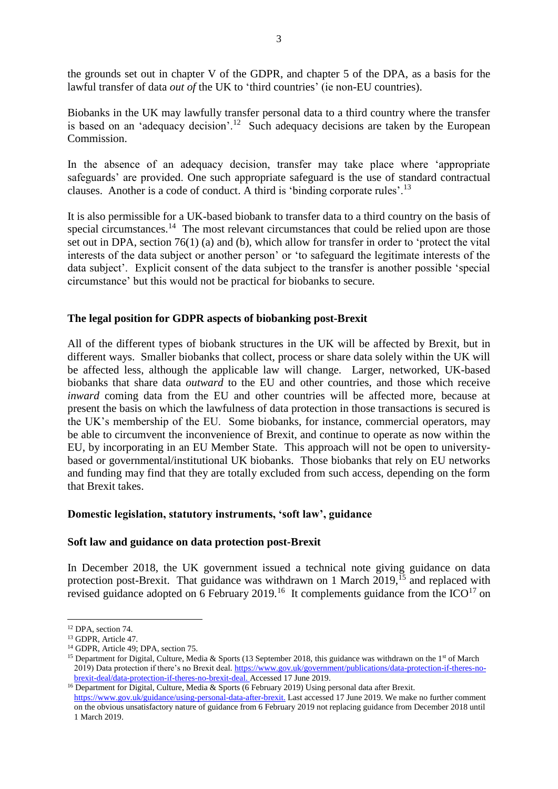the grounds set out in chapter V of the GDPR, and chapter 5 of the DPA, as a basis for the lawful transfer of data *out of* the UK to 'third countries' (ie non-EU countries).

Biobanks in the UK may lawfully transfer personal data to a third country where the transfer is based on an 'adequacy decision'.<sup>12</sup> Such adequacy decisions are taken by the European Commission.

In the absence of an adequacy decision, transfer may take place where 'appropriate safeguards' are provided. One such appropriate safeguard is the use of standard contractual clauses. Another is a code of conduct. A third is 'binding corporate rules'.<sup>13</sup>

It is also permissible for a UK-based biobank to transfer data to a third country on the basis of special circumstances.<sup>14</sup> The most relevant circumstances that could be relied upon are those set out in DPA, section 76(1) (a) and (b), which allow for transfer in order to 'protect the vital interests of the data subject or another person' or 'to safeguard the legitimate interests of the data subject'. Explicit consent of the data subject to the transfer is another possible 'special circumstance' but this would not be practical for biobanks to secure.

## **The legal position for GDPR aspects of biobanking post-Brexit**

All of the different types of biobank structures in the UK will be affected by Brexit, but in different ways. Smaller biobanks that collect, process or share data solely within the UK will be affected less, although the applicable law will change. Larger, networked, UK-based biobanks that share data *outward* to the EU and other countries, and those which receive *inward* coming data from the EU and other countries will be affected more, because at present the basis on which the lawfulness of data protection in those transactions is secured is the UK's membership of the EU. Some biobanks, for instance, commercial operators, may be able to circumvent the inconvenience of Brexit, and continue to operate as now within the EU, by incorporating in an EU Member State. This approach will not be open to universitybased or governmental/institutional UK biobanks. Those biobanks that rely on EU networks and funding may find that they are totally excluded from such access, depending on the form that Brexit takes.

## **Domestic legislation, statutory instruments, 'soft law', guidance**

#### **Soft law and guidance on data protection post-Brexit**

<span id="page-2-0"></span>In December 2018, the UK government issued a technical note giving guidance on data protection post-Brexit. That guidance was withdrawn on 1 March  $2019$ ,  $^{15}$  and replaced with revised guidance adopted on 6 February 2019.<sup>16</sup> It complements guidance from the  $ICO<sup>17</sup>$  on

<sup>16</sup> Department for Digital, Culture, Media & Sports (6 February 2019) Using personal data after Brexit. [https://www.gov.uk/guidance/using-personal-data-after-brexit.](https://www.gov.uk/guidance/using-personal-data-after-brexit) Last accessed 17 June 2019. We make no further comment on the obvious unsatisfactory nature of guidance from 6 February 2019 not replacing guidance from December 2018 until 1 March 2019.

<sup>1</sup> <sup>12</sup> DPA, section 74.

<sup>&</sup>lt;sup>13</sup> GDPR, Article 47.

<sup>14</sup> GDPR, Article 49; DPA, section 75.

<sup>&</sup>lt;sup>15</sup> Department for Digital, Culture, Media & Sports (13 September 2018, this guidance was withdrawn on the 1<sup>st</sup> of March 2019) Data protection if there's no Brexit deal*.* [https://www.gov.uk/government/publications/data-protection-if-theres-no](https://www.gov.uk/government/publications/data-protection-if-theres-no-brexit-deal/data-protection-if-theres-no-brexit-deal)[brexit-deal/data-protection-if-theres-no-brexit-deal.](https://www.gov.uk/government/publications/data-protection-if-theres-no-brexit-deal/data-protection-if-theres-no-brexit-deal) Accessed 17 June 2019.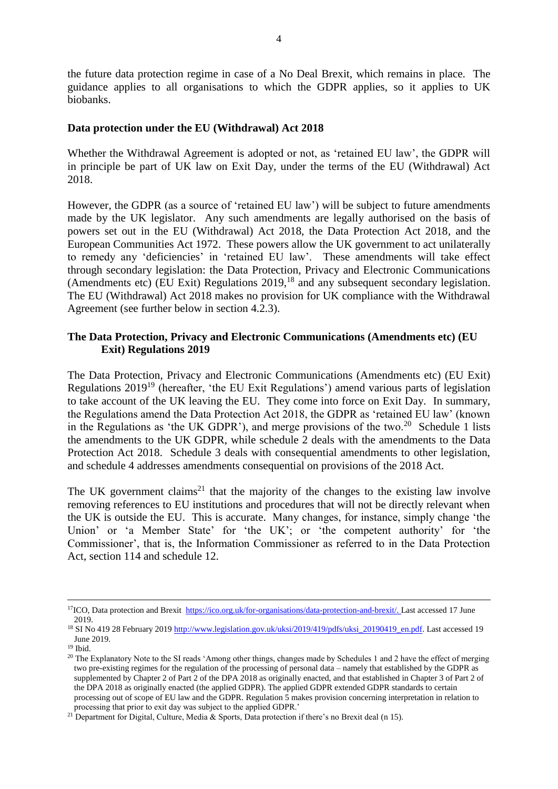the future data protection regime in case of a No Deal Brexit, which remains in place. The guidance applies to all organisations to which the GDPR applies, so it applies to UK biobanks.

### **Data protection under the EU (Withdrawal) Act 2018**

Whether the Withdrawal Agreement is adopted or not, as 'retained EU law', the GDPR will in principle be part of UK law on Exit Day, under the terms of the EU (Withdrawal) Act 2018.

However, the GDPR (as a source of 'retained EU law') will be subject to future amendments made by the UK legislator. Any such amendments are legally authorised on the basis of powers set out in the EU (Withdrawal) Act 2018, the Data Protection Act 2018, and the European Communities Act 1972. These powers allow the UK government to act unilaterally to remedy any 'deficiencies' in 'retained EU law'. These amendments will take effect through secondary legislation: the Data Protection, Privacy and Electronic Communications (Amendments etc) (EU Exit) Regulations  $2019$ ,<sup>18</sup> and any subsequent secondary legislation. The EU (Withdrawal) Act 2018 makes no provision for UK compliance with the Withdrawal Agreement (see further below in section 4.2.3).

# **The Data Protection, Privacy and Electronic Communications (Amendments etc) (EU Exit) Regulations 2019**

The Data Protection, Privacy and Electronic Communications (Amendments etc) (EU Exit) Regulations 2019<sup>19</sup> (hereafter, 'the EU Exit Regulations') amend various parts of legislation to take account of the UK leaving the EU. They come into force on Exit Day. In summary, the Regulations amend the Data Protection Act 2018, the GDPR as 'retained EU law' (known in the Regulations as 'the UK GDPR'), and merge provisions of the two.<sup>20</sup> Schedule 1 lists the amendments to the UK GDPR, while schedule 2 deals with the amendments to the Data Protection Act 2018. Schedule 3 deals with consequential amendments to other legislation, and schedule 4 addresses amendments consequential on provisions of the 2018 Act.

The UK government claims<sup>21</sup> that the majority of the changes to the existing law involve removing references to EU institutions and procedures that will not be directly relevant when the UK is outside the EU. This is accurate. Many changes, for instance, simply change 'the Union' or 'a Member State' for 'the UK'; or 'the competent authority' for 'the Commissioner', that is, the Information Commissioner as referred to in the Data Protection Act, section 114 and schedule 12.

<sup>&</sup>lt;sup>17</sup>ICO, Data protection and Brexit [https://ico.org.uk/for-organisations/data-protection-and-brexit/.](https://ico.org.uk/for-organisations/data-protection-and-brexit/) Last accessed 17 June 2019.

<sup>&</sup>lt;sup>18</sup> SI No 419 28 February 201[9 http://www.legislation.gov.uk/uksi/2019/419/pdfs/uksi\\_20190419\\_en.pdf.](http://www.legislation.gov.uk/uksi/2019/419/pdfs/uksi_20190419_en.pdf) Last accessed 19 June 2019.

<sup>19</sup> Ibid.

<sup>&</sup>lt;sup>20</sup> The Explanatory Note to the SI reads 'Among other things, changes made by Schedules 1 and 2 have the effect of merging two pre-existing regimes for the regulation of the processing of personal data – namely that established by the GDPR as supplemented by Chapter 2 of Part 2 of the DPA 2018 as originally enacted, and that established in Chapter 3 of Part 2 of the DPA 2018 as originally enacted (the applied GDPR). The applied GDPR extended GDPR standards to certain processing out of scope of EU law and the GDPR. Regulation 5 makes provision concerning interpretation in relation to processing that prior to exit day was subject to the applied GDPR.'

<sup>&</sup>lt;sup>21</sup> Department for Digital, Culture, Media & Sports, Data protection if there's no Brexit deal ([n 15\)](#page-2-0).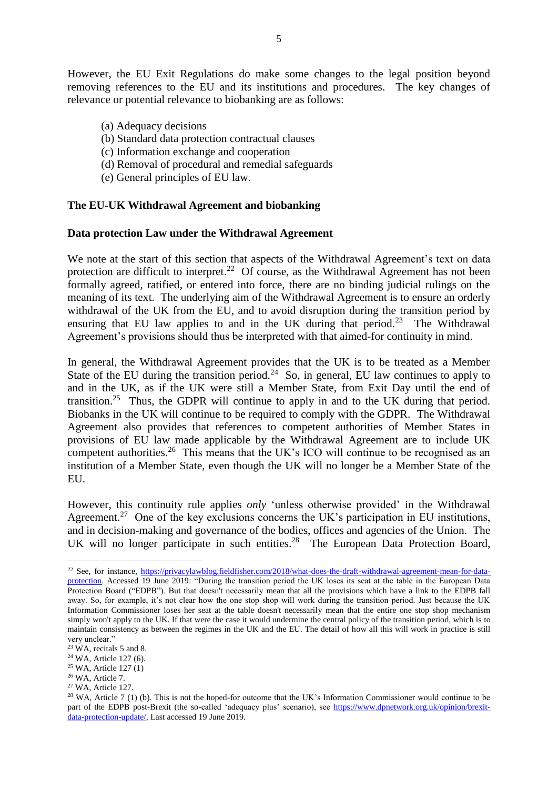However, the EU Exit Regulations do make some changes to the legal position beyond removing references to the EU and its institutions and procedures. The key changes of relevance or potential relevance to biobanking are as follows:

- (a) Adequacy decisions
- (b) Standard data protection contractual clauses
- (c) Information exchange and cooperation
- (d) Removal of procedural and remedial safeguards
- (e) General principles of EU law.

## **The EU-UK Withdrawal Agreement and biobanking**

### **Data protection Law under the Withdrawal Agreement**

We note at the start of this section that aspects of the Withdrawal Agreement's text on data protection are difficult to interpret.<sup>22</sup> Of course, as the Withdrawal Agreement has not been formally agreed, ratified, or entered into force, there are no binding judicial rulings on the meaning of its text. The underlying aim of the Withdrawal Agreement is to ensure an orderly withdrawal of the UK from the EU, and to avoid disruption during the transition period by ensuring that EU law applies to and in the UK during that period.<sup>23</sup> The Withdrawal Agreement's provisions should thus be interpreted with that aimed-for continuity in mind.

In general, the Withdrawal Agreement provides that the UK is to be treated as a Member State of the EU during the transition period.<sup>24</sup> So, in general, EU law continues to apply to and in the UK, as if the UK were still a Member State, from Exit Day until the end of transition.<sup>25</sup> Thus, the GDPR will continue to apply in and to the UK during that period. Biobanks in the UK will continue to be required to comply with the GDPR. The Withdrawal Agreement also provides that references to competent authorities of Member States in provisions of EU law made applicable by the Withdrawal Agreement are to include UK competent authorities.<sup>26</sup> This means that the UK's ICO will continue to be recognised as an institution of a Member State, even though the UK will no longer be a Member State of the EU.

However, this continuity rule applies *only* 'unless otherwise provided' in the Withdrawal Agreement.<sup>27</sup> One of the key exclusions concerns the UK's participation in EU institutions, and in decision-making and governance of the bodies, offices and agencies of the Union. The UK will no longer participate in such entities.<sup>28</sup> The European Data Protection Board,

<sup>25</sup> WA, Article 127 (1)

<u>.</u>

<sup>27</sup> WA, Article 127.

<sup>22</sup> See, for instance, [https://privacylawblog.fieldfisher.com/2018/what-does-the-draft-withdrawal-agreement-mean-for-data](https://privacylawblog.fieldfisher.com/2018/what-does-the-draft-withdrawal-agreement-mean-for-data-protection)[protection.](https://privacylawblog.fieldfisher.com/2018/what-does-the-draft-withdrawal-agreement-mean-for-data-protection) Accessed 19 June 2019: "During the transition period the UK loses its seat at the table in the European Data Protection Board ("EDPB"). But that doesn't necessarily mean that all the provisions which have a link to the EDPB fall away. So, for example, it's not clear how the one stop shop will work during the transition period. Just because the UK Information Commissioner loses her seat at the table doesn't necessarily mean that the entire one stop shop mechanism simply won't apply to the UK. If that were the case it would undermine the central policy of the transition period, which is to maintain consistency as between the regimes in the UK and the EU. The detail of how all this will work in practice is still very unclear."

 $23$  WA, recitals 5 and 8.

<sup>24</sup> WA, Article 127 (6).

<sup>26</sup> WA, Article 7.

<sup>&</sup>lt;sup>28</sup> WA, Article 7 (1) (b). This is not the hoped-for outcome that the UK's Information Commissioner would continue to be part of the EDPB post-Brexit (the so-called 'adequacy plus' scenario), see [https://www.dpnetwork.org.uk/opinion/brexit](https://www.dpnetwork.org.uk/opinion/brexit-data-protection-update/)[data-protection-update/,](https://www.dpnetwork.org.uk/opinion/brexit-data-protection-update/) Last accessed 19 June 2019.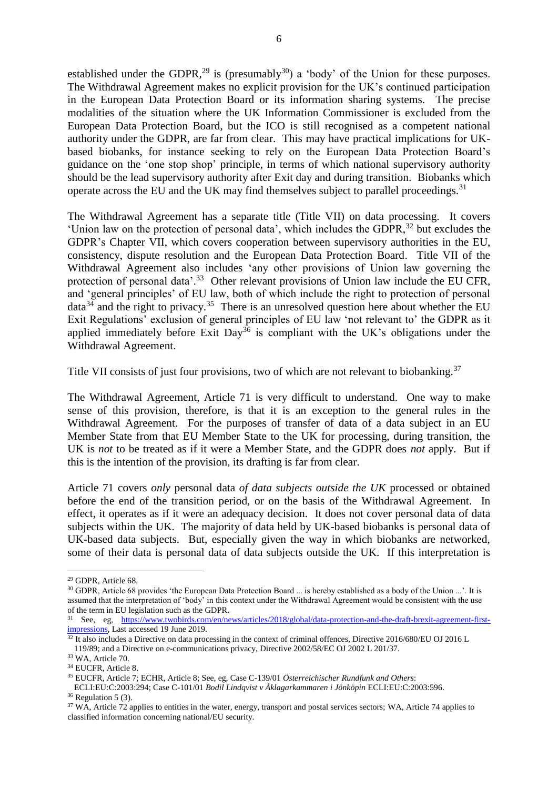established under the GDPR,<sup>29</sup> is (presumably<sup>30</sup>) a 'body' of the Union for these purposes. The Withdrawal Agreement makes no explicit provision for the UK's continued participation in the European Data Protection Board or its information sharing systems. The precise modalities of the situation where the UK Information Commissioner is excluded from the European Data Protection Board, but the ICO is still recognised as a competent national authority under the GDPR, are far from clear. This may have practical implications for UKbased biobanks, for instance seeking to rely on the European Data Protection Board's guidance on the 'one stop shop' principle, in terms of which national supervisory authority should be the lead supervisory authority after Exit day and during transition. Biobanks which operate across the EU and the UK may find themselves subject to parallel proceedings.<sup>31</sup>

The Withdrawal Agreement has a separate title (Title VII) on data processing. It covers 'Union law on the protection of personal data', which includes the GDPR,<sup>32</sup> but excludes the GDPR's Chapter VII, which covers cooperation between supervisory authorities in the EU, consistency, dispute resolution and the European Data Protection Board. Title VII of the Withdrawal Agreement also includes 'any other provisions of Union law governing the protection of personal data'.<sup>33</sup> Other relevant provisions of Union law include the EU CFR, and 'general principles' of EU law, both of which include the right to protection of personal data<sup>34</sup> and the right to privacy.<sup>35</sup> There is an unresolved question here about whether the EU Exit Regulations' exclusion of general principles of EU law 'not relevant to' the GDPR as it applied immediately before Exit Day<sup>36</sup> is compliant with the UK's obligations under the Withdrawal Agreement.

Title VII consists of just four provisions, two of which are not relevant to biobanking.<sup>37</sup>

The Withdrawal Agreement, Article 71 is very difficult to understand. One way to make sense of this provision, therefore, is that it is an exception to the general rules in the Withdrawal Agreement. For the purposes of transfer of data of a data subject in an EU Member State from that EU Member State to the UK for processing, during transition, the UK is *not* to be treated as if it were a Member State, and the GDPR does *not* apply. But if this is the intention of the provision, its drafting is far from clear.

Article 71 covers *only* personal data *of data subjects outside the UK* processed or obtained before the end of the transition period, or on the basis of the Withdrawal Agreement. In effect, it operates as if it were an adequacy decision. It does not cover personal data of data subjects within the UK. The majority of data held by UK-based biobanks is personal data of UK-based data subjects. But, especially given the way in which biobanks are networked, some of their data is personal data of data subjects outside the UK. If this interpretation is

<sup>29</sup> GDPR, Article 68.

<sup>30</sup> GDPR, Article 68 provides 'the European Data Protection Board ... is hereby established as a body of the Union ...'. It is assumed that the interpretation of 'body' in this context under the Withdrawal Agreement would be consistent with the use of the term in EU legislation such as the GDPR.

<sup>31</sup> See, eg, [https://www.twobirds.com/en/news/articles/2018/global/data-protection-and-the-draft-brexit-agreement-first](https://www.twobirds.com/en/news/articles/2018/global/data-protection-and-the-draft-brexit-agreement-first-impressions)[impressions,](https://www.twobirds.com/en/news/articles/2018/global/data-protection-and-the-draft-brexit-agreement-first-impressions) Last accessed 19 June 2019.

<sup>&</sup>lt;sup>32</sup> It also includes a Directive on data processing in the context of criminal offences, Directive 2016/680/EU OJ 2016 L 119/89; and a Directive on e-communications privacy, Directive 2002/58/EC OJ 2002 L 201/37.

<sup>33</sup> WA, Article 70.

<sup>&</sup>lt;sup>34</sup> EUCFR, Article 8.

<sup>35</sup> EUCFR, Article 7; ECHR, Article 8; See, eg, Case C-139/01 *Österreichischer Rundfunk and Others*:

ECLI:EU:C:2003:294; Case C-101/01 *Bodil Lindqvist v Åklagarkammaren i Jönköpin* ECLI:EU:C:2003:596.  $36$  Regulation 5 (3).

<sup>&</sup>lt;sup>37</sup> WA, Article 72 applies to entities in the water, energy, transport and postal services sectors; WA, Article 74 applies to classified information concerning national/EU security.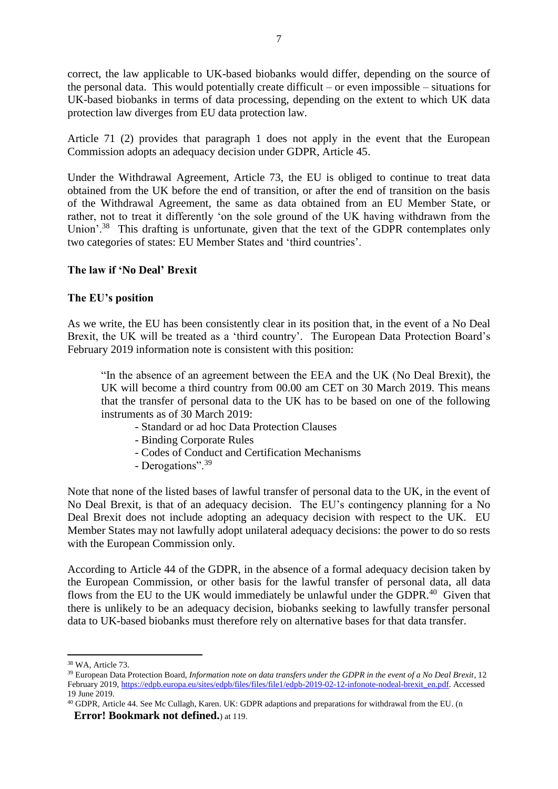correct, the law applicable to UK-based biobanks would differ, depending on the source of the personal data. This would potentially create difficult – or even impossible – situations for UK-based biobanks in terms of data processing, depending on the extent to which UK data protection law diverges from EU data protection law.

Article 71 (2) provides that paragraph 1 does not apply in the event that the European Commission adopts an adequacy decision under GDPR, Article 45.

Under the Withdrawal Agreement, Article 73, the EU is obliged to continue to treat data obtained from the UK before the end of transition, or after the end of transition on the basis of the Withdrawal Agreement, the same as data obtained from an EU Member State, or rather, not to treat it differently 'on the sole ground of the UK having withdrawn from the Union'.<sup>38</sup> This drafting is unfortunate, given that the text of the GDPR contemplates only two categories of states: EU Member States and 'third countries'.

## **The law if 'No Deal' Brexit**

## **The EU's position**

As we write, the EU has been consistently clear in its position that, in the event of a No Deal Brexit, the UK will be treated as a 'third country'. The European Data Protection Board's February 2019 information note is consistent with this position:

"In the absence of an agreement between the EEA and the UK (No Deal Brexit), the UK will become a third country from 00.00 am CET on 30 March 2019. This means that the transfer of personal data to the UK has to be based on one of the following instruments as of 30 March 2019:

- Standard or ad hoc Data Protection Clauses
- Binding Corporate Rules
- Codes of Conduct and Certification Mechanisms
- Derogations".<sup>39</sup>

Note that none of the listed bases of lawful transfer of personal data to the UK, in the event of No Deal Brexit, is that of an adequacy decision. The EU's contingency planning for a No Deal Brexit does not include adopting an adequacy decision with respect to the UK. EU Member States may not lawfully adopt unilateral adequacy decisions: the power to do so rests with the European Commission only.

According to Article 44 of the GDPR, in the absence of a formal adequacy decision taken by the European Commission, or other basis for the lawful transfer of personal data, all data flows from the EU to the UK would immediately be unlawful under the GDPR.<sup>40</sup> Given that there is unlikely to be an adequacy decision, biobanks seeking to lawfully transfer personal data to UK-based biobanks must therefore rely on alternative bases for that data transfer.

<u>.</u>

<sup>38</sup> WA, Article 73.

<sup>39</sup> European Data Protection Board, *Information note on data transfers under the GDPR in the event of a No Deal Brexit*, 12 February 2019[, https://edpb.europa.eu/sites/edpb/files/files/file1/edpb-2019-02-12-infonote-nodeal-brexit\\_en.pdf.](https://edpb.europa.eu/sites/edpb/files/files/file1/edpb-2019-02-12-infonote-nodeal-brexit_en.pdf) Accessed 19 June 2019.

<sup>40</sup> GDPR, Article 44. See Mc Cullagh, Karen. UK: GDPR adaptions and preparations for withdrawal from the EU. (n **Error! Bookmark not defined.**) at 119.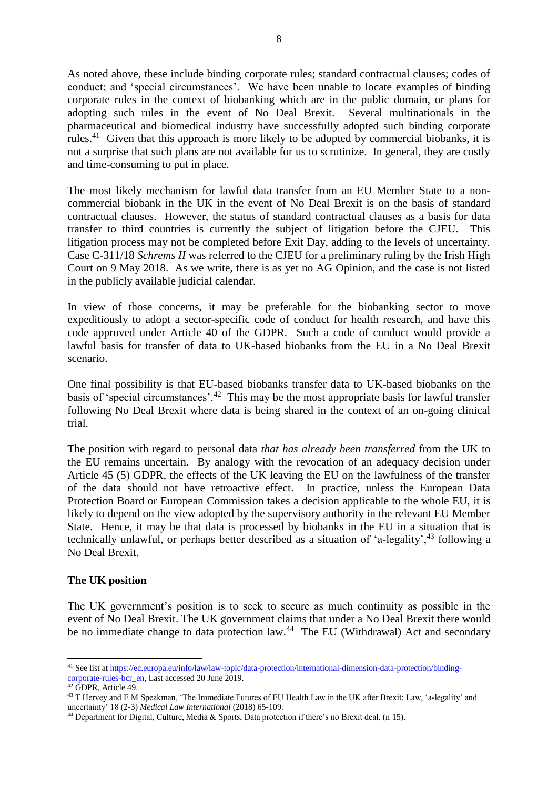As noted above, these include binding corporate rules; standard contractual clauses; codes of conduct; and 'special circumstances'. We have been unable to locate examples of binding corporate rules in the context of biobanking which are in the public domain, or plans for adopting such rules in the event of No Deal Brexit. Several multinationals in the pharmaceutical and biomedical industry have successfully adopted such binding corporate rules.<sup>41</sup> Given that this approach is more likely to be adopted by commercial biobanks, it is not a surprise that such plans are not available for us to scrutinize. In general, they are costly and time-consuming to put in place.

The most likely mechanism for lawful data transfer from an EU Member State to a noncommercial biobank in the UK in the event of No Deal Brexit is on the basis of standard contractual clauses. However, the status of standard contractual clauses as a basis for data transfer to third countries is currently the subject of litigation before the CJEU. This litigation process may not be completed before Exit Day, adding to the levels of uncertainty. Case C-311/18 *Schrems II* was referred to the CJEU for a preliminary ruling by the Irish High Court on 9 May 2018. As we write, there is as yet no AG Opinion, and the case is not listed in the publicly available judicial calendar.

In view of those concerns, it may be preferable for the biobanking sector to move expeditiously to adopt a sector-specific code of conduct for health research, and have this code approved under Article 40 of the GDPR. Such a code of conduct would provide a lawful basis for transfer of data to UK-based biobanks from the EU in a No Deal Brexit scenario.

One final possibility is that EU-based biobanks transfer data to UK-based biobanks on the basis of 'special circumstances'.<sup>42</sup> This may be the most appropriate basis for lawful transfer following No Deal Brexit where data is being shared in the context of an on-going clinical trial.

The position with regard to personal data *that has already been transferred* from the UK to the EU remains uncertain. By analogy with the revocation of an adequacy decision under Article 45 (5) GDPR, the effects of the UK leaving the EU on the lawfulness of the transfer of the data should not have retroactive effect. In practice, unless the European Data Protection Board or European Commission takes a decision applicable to the whole EU, it is likely to depend on the view adopted by the supervisory authority in the relevant EU Member State. Hence, it may be that data is processed by biobanks in the EU in a situation that is technically unlawful, or perhaps better described as a situation of 'a-legality', <sup>43</sup> following a No Deal Brexit.

## **The UK position**

The UK government's position is to seek to secure as much continuity as possible in the event of No Deal Brexit. The UK government claims that under a No Deal Brexit there would be no immediate change to data protection law.<sup>44</sup> The EU (Withdrawal) Act and secondary

<sup>41</sup> See list a[t https://ec.europa.eu/info/law/law-topic/data-protection/international-dimension-data-protection/binding](https://ec.europa.eu/info/law/law-topic/data-protection/international-dimension-data-protection/binding-corporate-rules-bcr_en)[corporate-rules-bcr\\_en,](https://ec.europa.eu/info/law/law-topic/data-protection/international-dimension-data-protection/binding-corporate-rules-bcr_en) Last accessed 20 June 2019.

<sup>42</sup> GDPR, Article 49.

<sup>43</sup> T Hervey and E M Speakman, 'The Immediate Futures of EU Health Law in the UK after Brexit: Law, 'a-legality' and uncertainty' 18 (2-3) *Medical Law International* (2018) 65-109.

<sup>44</sup> Department for Digital, Culture, Media & Sports, Data protection if there's no Brexit deal. (n [15\)](#page-2-0).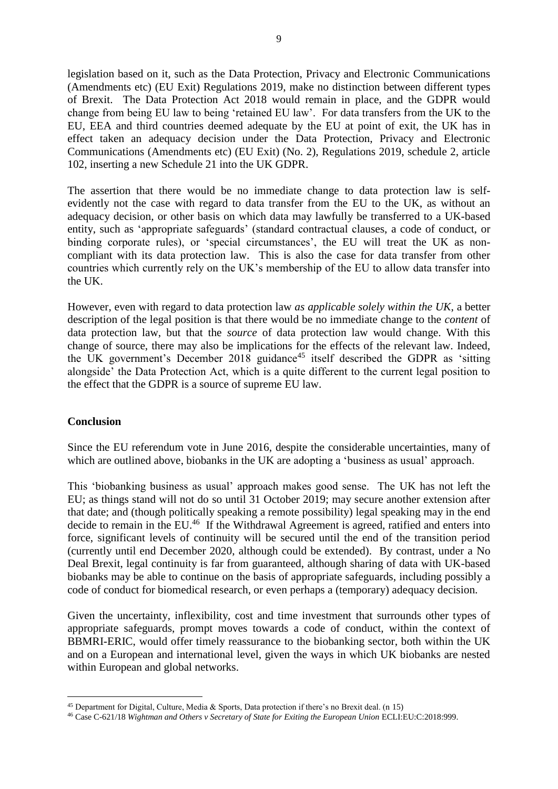legislation based on it, such as the Data Protection, Privacy and Electronic Communications (Amendments etc) (EU Exit) Regulations 2019, make no distinction between different types of Brexit. The Data Protection Act 2018 would remain in place, and the GDPR would change from being EU law to being 'retained EU law'. For data transfers from the UK to the EU, EEA and third countries deemed adequate by the EU at point of exit, the UK has in effect taken an adequacy decision under the Data Protection, Privacy and Electronic Communications (Amendments etc) (EU Exit) (No. 2), Regulations 2019, schedule 2, article 102, inserting a new Schedule 21 into the UK GDPR.

The assertion that there would be no immediate change to data protection law is selfevidently not the case with regard to data transfer from the EU to the UK, as without an adequacy decision, or other basis on which data may lawfully be transferred to a UK-based entity, such as 'appropriate safeguards' (standard contractual clauses, a code of conduct, or binding corporate rules), or 'special circumstances', the EU will treat the UK as noncompliant with its data protection law. This is also the case for data transfer from other countries which currently rely on the UK's membership of the EU to allow data transfer into the UK.

However, even with regard to data protection law *as applicable solely within the UK*, a better description of the legal position is that there would be no immediate change to the *content* of data protection law, but that the *source* of data protection law would change. With this change of source, there may also be implications for the effects of the relevant law. Indeed, the UK government's December 2018 guidance<sup>45</sup> itself described the GDPR as 'sitting alongside' the Data Protection Act, which is a quite different to the current legal position to the effect that the GDPR is a source of supreme EU law.

#### **Conclusion**

1

Since the EU referendum vote in June 2016, despite the considerable uncertainties, many of which are outlined above, biobanks in the UK are adopting a 'business as usual' approach.

This 'biobanking business as usual' approach makes good sense. The UK has not left the EU; as things stand will not do so until 31 October 2019; may secure another extension after that date; and (though politically speaking a remote possibility) legal speaking may in the end decide to remain in the EU.<sup>46</sup> If the Withdrawal Agreement is agreed, ratified and enters into force, significant levels of continuity will be secured until the end of the transition period (currently until end December 2020, although could be extended). By contrast, under a No Deal Brexit, legal continuity is far from guaranteed, although sharing of data with UK-based biobanks may be able to continue on the basis of appropriate safeguards, including possibly a code of conduct for biomedical research, or even perhaps a (temporary) adequacy decision.

Given the uncertainty, inflexibility, cost and time investment that surrounds other types of appropriate safeguards, prompt moves towards a code of conduct, within the context of BBMRI-ERIC, would offer timely reassurance to the biobanking sector, both within the UK and on a European and international level, given the ways in which UK biobanks are nested within European and global networks.

<sup>45</sup> Department for Digital, Culture, Media & Sports, Data protection if there's no Brexit deal. (n [15\)](#page-2-0)

<sup>46</sup> Case C-621/18 *Wightman and Others v Secretary of State for Exiting the European Union* ECLI:EU:C:2018:999.